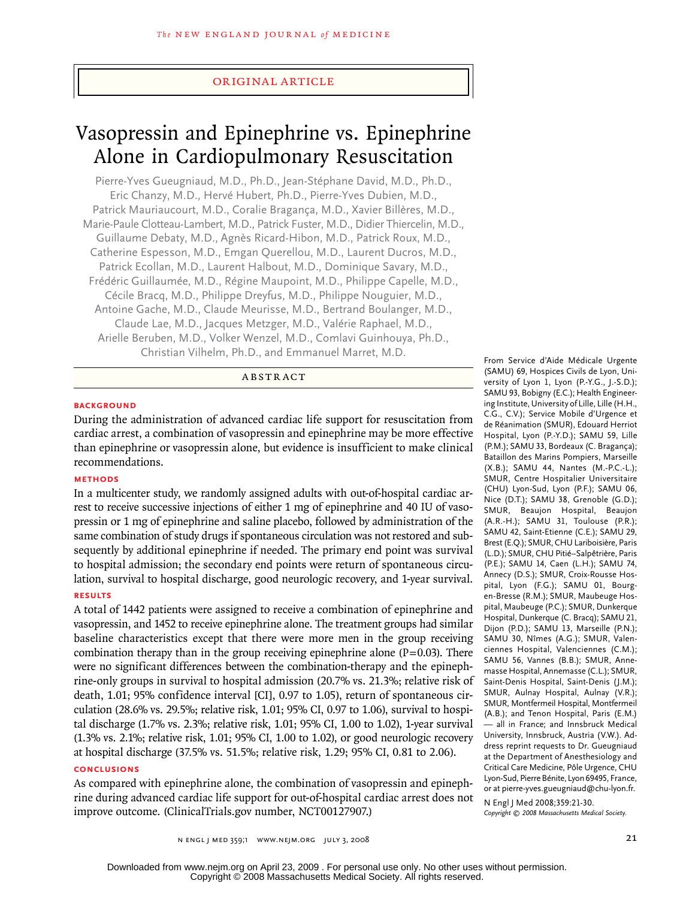## original article

# Vasopressin and Epinephrine vs. Epinephrine Alone in Cardiopulmonary Resuscitation

Pierre-Yves Gueugniaud, M.D., Ph.D., Jean-Stéphane David, M.D., Ph.D., Eric Chanzy, M.D., Hervé Hubert, Ph.D., Pierre-Yves Dubien, M.D., Patrick Mauriaucourt, M.D., Coralie Bragança, M.D., Xavier Billères, M.D., Marie-Paule Clotteau-Lambert, M.D., Patrick Fuster, M.D., Didier Thiercelin, M.D., Guillaume Debaty, M.D., Agnès Ricard-Hibon, M.D., Patrick Roux, M.D., Catherine Espesson, M.D., Emgan Querellou, M.D., Laurent Ducros, M.D., Patrick Ecollan, M.D., Laurent Halbout, M.D., Dominique Savary, M.D., Frédéric Guillaumée, M.D., Régine Maupoint, M.D., Philippe Capelle, M.D., Cécile Bracq, M.D., Philippe Dreyfus, M.D., Philippe Nouguier, M.D., Antoine Gache, M.D., Claude Meurisse, M.D., Bertrand Boulanger, M.D., Claude Lae, M.D., Jacques Metzger, M.D., Valérie Raphael, M.D., Arielle Beruben, M.D., Volker Wenzel, M.D., Comlavi Guinhouya, Ph.D., Christian Vilhelm, Ph.D., and Emmanuel Marret, M.D.<br>From Service d'Aide Médicale Urgente

ABSTRACT

#### **BACKGROUND**

During the administration of advanced cardiac life support for resuscitation from cardiac arrest, a combination of vasopressin and epinephrine may be more effective than epinephrine or vasopressin alone, but evidence is insufficient to make clinical recommendations.

#### **METHODS**

In a multicenter study, we randomly assigned adults with out-of-hospital cardiac arrest to receive successive injections of either 1 mg of epinephrine and 40 IU of vasopressin or 1 mg of epinephrine and saline placebo, followed by administration of the same combination of study drugs if spontaneous circulation was not restored and subsequently by additional epinephrine if needed. The primary end point was survival to hospital admission; the secondary end points were return of spontaneous circulation, survival to hospital discharge, good neurologic recovery, and 1-year survival. **RESULTS**

A total of 1442 patients were assigned to receive a combination of epinephrine and vasopressin, and 1452 to receive epinephrine alone. The treatment groups had similar baseline characteristics except that there were more men in the group receiving combination therapy than in the group receiving epinephrine alone  $(P=0.03)$ . There were no significant differences between the combination-therapy and the epinephrine-only groups in survival to hospital admission (20.7% vs. 21.3%; relative risk of death, 1.01; 95% confidence interval [CI], 0.97 to 1.05), return of spontaneous circulation (28.6% vs. 29.5%; relative risk, 1.01; 95% CI, 0.97 to 1.06), survival to hospital discharge (1.7% vs. 2.3%; relative risk, 1.01; 95% CI, 1.00 to 1.02), 1-year survival (1.3% vs. 2.1%; relative risk, 1.01; 95% CI, 1.00 to 1.02), or good neurologic recovery at hospital discharge (37.5% vs. 51.5%; relative risk, 1.29; 95% CI, 0.81 to 2.06).

#### **CONCLUSIONS**

As compared with epinephrine alone, the combination of vasopressin and epinephrine during advanced cardiac life support for out-of-hospital cardiac arrest does not improve outcome. (ClinicalTrials.gov number, NCT00127907.)

(SAMU) 69, Hospices Civils de Lyon, University of Lyon 1, Lyon (P.-Y.G., J.-S.D.); SAMU 93, Bobigny (E.C.); Health Engineering Institute, University of Lille, Lille (H.H., C.G., C.V.); Service Mobile d'Urgence et de Réanimation (SMUR), Edouard Herriot Hospital, Lyon (P.-Y.D.); SAMU 59, Lille (P.M.); SAMU 33, Bordeaux (C. Bragança); Bataillon des Marins Pompiers, Marseille (X.B.); SAMU 44, Nantes (M.-P.C.-L.); SMUR, Centre Hospitalier Universitaire (CHU) Lyon-Sud, Lyon (P.F.); SAMU 06, Nice (D.T.); SAMU 38, Grenoble (G.D.); SMUR, Beaujon Hospital, Beaujon (A.R.-H.); SAMU 31, Toulouse (P.R.); SAMU 42, Saint-Etienne (C.E.); SAMU 29, Brest (E.Q.); SMUR, CHU Lariboisière, Paris (L.D.); SMUR, CHU Pitié–Salpêtrière, Paris (P.E.); SAMU 14, Caen (L.H.); SAMU 74, Annecy (D.S.); SMUR, Croix-Rousse Hospital, Lyon (F.G.); SAMU 01, Bourgen-Bresse (R.M.); SMUR, Maubeuge Hospital, Maubeuge (P.C.); SMUR, Dunkerque Hospital, Dunkerque (C. Bracq); SAMU 21, Dijon (P.D.); SAMU 13, Marseille (P.N.); SAMU 30, Nîmes (A.G.); SMUR, Valenciennes Hospital, Valenciennes (C.M.); SAMU 56, Vannes (B.B.); SMUR, Annemasse Hospital, Annemasse (C.L.); SMUR, Saint-Denis Hospital, Saint-Denis (J.M.); SMUR, Aulnay Hospital, Aulnay (V.R.); SMUR, Montfermeil Hospital, Montfermeil (A.B.); and Tenon Hospital, Paris (E.M.) — all in France; and Innsbruck Medical University, Innsbruck, Austria (V.W.). Address reprint requests to Dr. Gueugniaud at the Department of Anesthesiology and Critical Care Medicine, Pôle Urgence, CHU Lyon-Sud, Pierre Bénite, Lyon 69495, France, or at pierre-yves.gueugniaud@chu-lyon.fr.

N Engl J Med 2008;359:21-30. *Copyright © 2008 Massachusetts Medical Society.*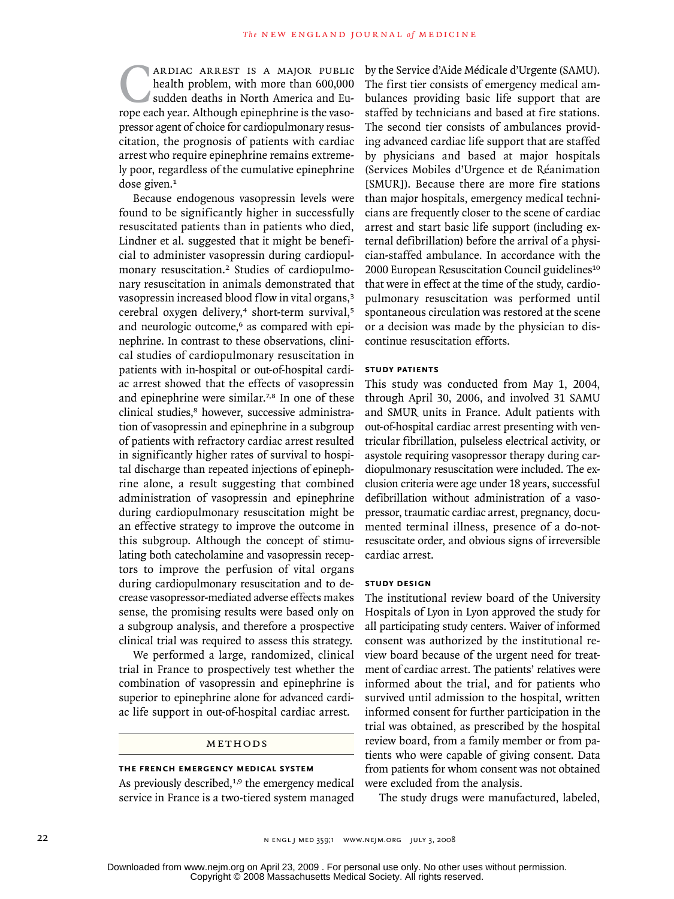**CARDIAC ARREST IS A MAJOR PUBLIC**<br>health problem, with more than 600,000<br>sudden deaths in North America and Europe each year. Although epinephrine is the vasohealth problem, with more than 600,000 sudden deaths in North America and Eupressor agent of choice for cardiopulmonary resuscitation, the prognosis of patients with cardiac arrest who require epinephrine remains extremely poor, regardless of the cumulative epinephrine dose given.<sup>1</sup>

Because endogenous vasopressin levels were found to be significantly higher in successfully resuscitated patients than in patients who died, Lindner et al. suggested that it might be beneficial to administer vasopressin during cardiopulmonary resuscitation.2 Studies of cardiopulmonary resuscitation in animals demonstrated that vasopressin increased blood flow in vital organs,<sup>3</sup> cerebral oxygen delivery,<sup>4</sup> short-term survival,<sup>5</sup> and neurologic outcome,<sup>6</sup> as compared with epinephrine. In contrast to these observations, clinical studies of cardiopulmonary resuscitation in patients with in-hospital or out-of-hospital cardiac arrest showed that the effects of vasopressin and epinephrine were similar.7,8 In one of these clinical studies,<sup>8</sup> however, successive administration of vasopressin and epinephrine in a subgroup of patients with refractory cardiac arrest resulted in significantly higher rates of survival to hospital discharge than repeated injections of epinephrine alone, a result suggesting that combined administration of vasopressin and epinephrine during cardiopulmonary resuscitation might be an effective strategy to improve the outcome in this subgroup. Although the concept of stimulating both catecholamine and vasopressin receptors to improve the perfusion of vital organs during cardiopulmonary resuscitation and to decrease vasopressor-mediated adverse effects makes sense, the promising results were based only on a subgroup analysis, and therefore a prospective clinical trial was required to assess this strategy.

We performed a large, randomized, clinical trial in France to prospectively test whether the combination of vasopressin and epinephrine is superior to epinephrine alone for advanced cardiac life support in out-of-hospital cardiac arrest.

#### Methods

#### **The French Emergency Medical System**

As previously described, $1,9$  the emergency medical service in France is a two-tiered system managed

by the Service d'Aide Médicale d'Urgente (SAMU). The first tier consists of emergency medical ambulances providing basic life support that are staffed by technicians and based at fire stations. The second tier consists of ambulances providing advanced cardiac life support that are staffed by physicians and based at major hospitals (Services Mobiles d'Urgence et de Réanimation [SMUR]). Because there are more fire stations than major hospitals, emergency medical technicians are frequently closer to the scene of cardiac arrest and start basic life support (including external defibrillation) before the arrival of a physician-staffed ambulance. In accordance with the 2000 European Resuscitation Council guidelines<sup>10</sup> that were in effect at the time of the study, cardiopulmonary resuscitation was performed until spontaneous circulation was restored at the scene or a decision was made by the physician to discontinue resuscitation efforts.

#### **Study Patients**

This study was conducted from May 1, 2004, through April 30, 2006, and involved 31 SAMU and SMUR units in France. Adult patients with out-of-hospital cardiac arrest presenting with ventricular fibrillation, pulseless electrical activity, or asystole requiring vasopressor therapy during cardiopulmonary resuscitation were included. The exclusion criteria were age under 18 years, successful defibrillation without administration of a vasopressor, traumatic cardiac arrest, pregnancy, documented terminal illness, presence of a do-notresuscitate order, and obvious signs of irreversible cardiac arrest.

## **Study Design**

The institutional review board of the University Hospitals of Lyon in Lyon approved the study for all participating study centers. Waiver of informed consent was authorized by the institutional review board because of the urgent need for treatment of cardiac arrest. The patients' relatives were informed about the trial, and for patients who survived until admission to the hospital, written informed consent for further participation in the trial was obtained, as prescribed by the hospital review board, from a family member or from patients who were capable of giving consent. Data from patients for whom consent was not obtained were excluded from the analysis.

The study drugs were manufactured, labeled,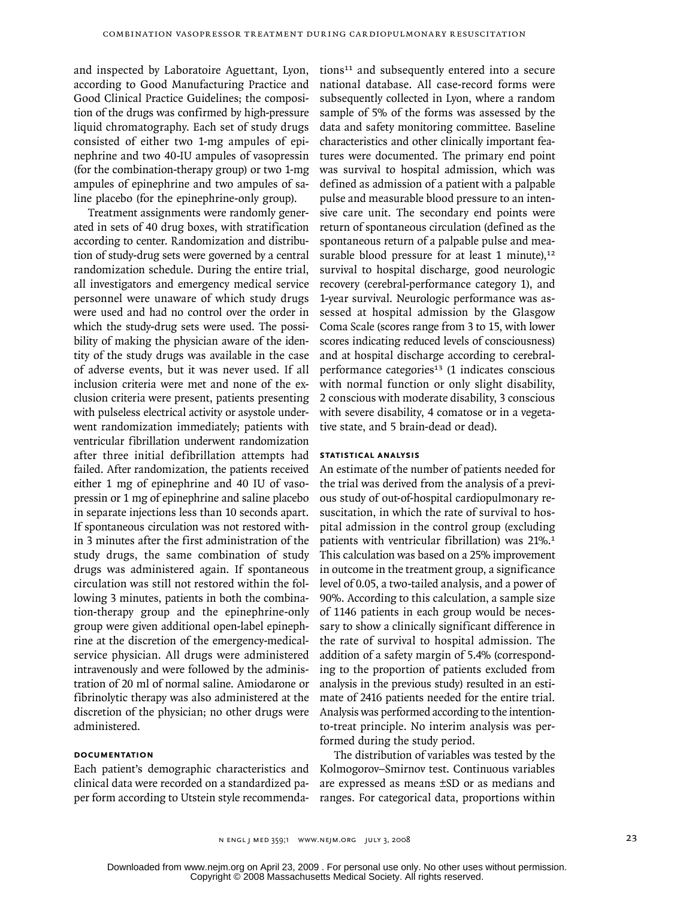and inspected by Laboratoire Aguettant, Lyon, according to Good Manufacturing Practice and Good Clinical Practice Guidelines; the composition of the drugs was confirmed by high-pressure liquid chromatography. Each set of study drugs consisted of either two 1-mg ampules of epinephrine and two 40-IU ampules of vasopressin (for the combination-therapy group) or two 1-mg ampules of epinephrine and two ampules of saline placebo (for the epinephrine-only group).

Treatment assignments were randomly generated in sets of 40 drug boxes, with stratification according to center. Randomization and distribution of study-drug sets were governed by a central randomization schedule. During the entire trial, all investigators and emergency medical service personnel were unaware of which study drugs were used and had no control over the order in which the study-drug sets were used. The possibility of making the physician aware of the identity of the study drugs was available in the case of adverse events, but it was never used. If all inclusion criteria were met and none of the exclusion criteria were present, patients presenting with pulseless electrical activity or asystole underwent randomization immediately; patients with ventricular fibrillation underwent randomization after three initial defibrillation attempts had failed. After randomization, the patients received either 1 mg of epinephrine and 40 IU of vasopressin or 1 mg of epinephrine and saline placebo in separate injections less than 10 seconds apart. If spontaneous circulation was not restored within 3 minutes after the first administration of the study drugs, the same combination of study drugs was administered again. If spontaneous circulation was still not restored within the following 3 minutes, patients in both the combination-therapy group and the epinephrine-only group were given additional open-label epinephrine at the discretion of the emergency-medicalservice physician. All drugs were administered intravenously and were followed by the administration of 20 ml of normal saline. Amiodarone or fibrinolytic therapy was also administered at the discretion of the physician; no other drugs were administered.

## **Documentation**

Each patient's demographic characteristics and clinical data were recorded on a standardized paper form according to Utstein style recommendations<sup>11</sup> and subsequently entered into a secure national database. All case-record forms were subsequently collected in Lyon, where a random sample of 5% of the forms was assessed by the data and safety monitoring committee. Baseline characteristics and other clinically important features were documented. The primary end point was survival to hospital admission, which was defined as admission of a patient with a palpable pulse and measurable blood pressure to an intensive care unit. The secondary end points were return of spontaneous circulation (defined as the spontaneous return of a palpable pulse and measurable blood pressure for at least 1 minute), $12$ survival to hospital discharge, good neurologic recovery (cerebral-performance category 1), and 1-year survival. Neurologic performance was assessed at hospital admission by the Glasgow Coma Scale (scores range from 3 to 15, with lower scores indicating reduced levels of consciousness) and at hospital discharge according to cerebralperformance categories $13$  (1 indicates conscious with normal function or only slight disability, 2 conscious with moderate disability, 3 conscious with severe disability, 4 comatose or in a vegetative state, and 5 brain-dead or dead).

#### **Statistical Analysis**

An estimate of the number of patients needed for the trial was derived from the analysis of a previous study of out-of-hospital cardiopulmonary resuscitation, in which the rate of survival to hospital admission in the control group (excluding patients with ventricular fibrillation) was 21%.<sup>1</sup> This calculation was based on a 25% improvement in outcome in the treatment group, a significance level of 0.05, a two-tailed analysis, and a power of 90%. According to this calculation, a sample size of 1146 patients in each group would be necessary to show a clinically significant difference in the rate of survival to hospital admission. The addition of a safety margin of 5.4% (corresponding to the proportion of patients excluded from analysis in the previous study) resulted in an estimate of 2416 patients needed for the entire trial. Analysis was performed according to the intentionto-treat principle. No interim analysis was performed during the study period.

The distribution of variables was tested by the Kolmogorov–Smirnov test. Continuous variables are expressed as means ±SD or as medians and ranges. For categorical data, proportions within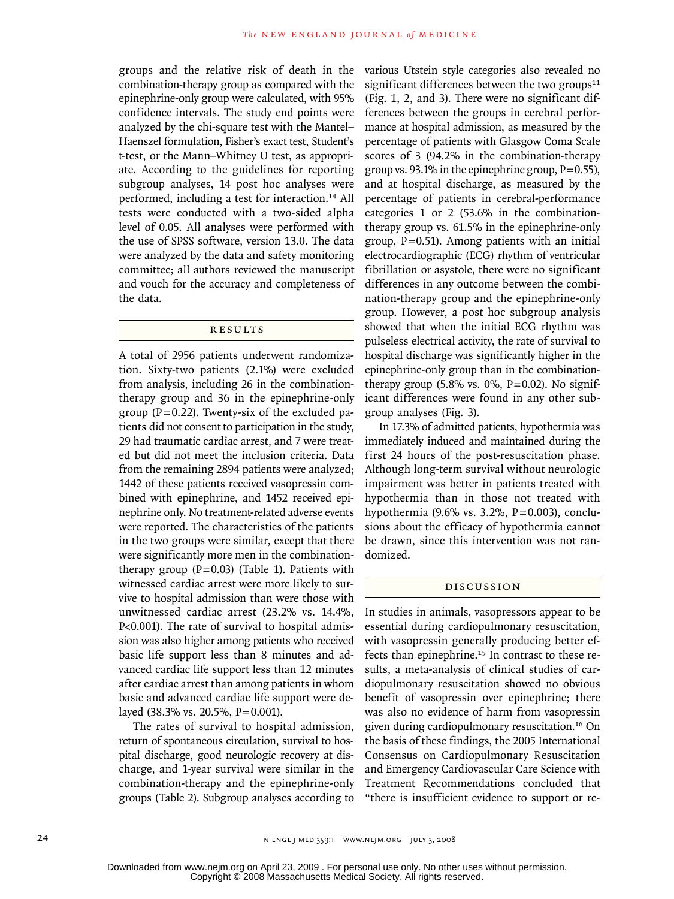groups and the relative risk of death in the combination-therapy group as compared with the epinephrine-only group were calculated, with 95% confidence intervals. The study end points were analyzed by the chi-square test with the Mantel– Haenszel formulation, Fisher's exact test, Student's t-test, or the Mann–Whitney U test, as appropriate. According to the guidelines for reporting subgroup analyses, 14 post hoc analyses were performed, including a test for interaction.<sup>14</sup> All tests were conducted with a two-sided alpha level of 0.05. All analyses were performed with the use of SPSS software, version 13.0. The data were analyzed by the data and safety monitoring committee; all authors reviewed the manuscript and vouch for the accuracy and completeness of the data.

## **RESULTS**

A total of 2956 patients underwent randomization. Sixty-two patients (2.1%) were excluded from analysis, including 26 in the combinationtherapy group and 36 in the epinephrine-only group ( $P=0.22$ ). Twenty-six of the excluded patients did not consent to participation in the study, 29 had traumatic cardiac arrest, and 7 were treated but did not meet the inclusion criteria. Data from the remaining 2894 patients were analyzed; 1442 of these patients received vasopressin combined with epinephrine, and 1452 received epinephrine only. No treatment-related adverse events were reported. The characteristics of the patients in the two groups were similar, except that there were significantly more men in the combinationtherapy group  $(P=0.03)$  (Table 1). Patients with witnessed cardiac arrest were more likely to survive to hospital admission than were those with unwitnessed cardiac arrest (23.2% vs. 14.4%, P<0.001). The rate of survival to hospital admission was also higher among patients who received basic life support less than 8 minutes and advanced cardiac life support less than 12 minutes after cardiac arrest than among patients in whom basic and advanced cardiac life support were delayed (38.3% vs. 20.5%, P=0.001).

The rates of survival to hospital admission, return of spontaneous circulation, survival to hospital discharge, good neurologic recovery at discharge, and 1-year survival were similar in the combination-therapy and the epinephrine-only groups (Table 2). Subgroup analyses according to various Utstein style categories also revealed no significant differences between the two groups $11$ (Fig. 1, 2, and 3). There were no significant differences between the groups in cerebral performance at hospital admission, as measured by the percentage of patients with Glasgow Coma Scale scores of 3 (94.2% in the combination-therapy group vs. 93.1% in the epinephrine group,  $P=0.55$ ), and at hospital discharge, as measured by the percentage of patients in cerebral-performance categories 1 or 2 (53.6% in the combinationtherapy group vs. 61.5% in the epinephrine-only group,  $P=0.51$ ). Among patients with an initial electrocardiographic (ECG) rhythm of ventricular fibrillation or asystole, there were no significant differences in any outcome between the combination-therapy group and the epinephrine-only group. However, a post hoc subgroup analysis showed that when the initial ECG rhythm was pulseless electrical activity, the rate of survival to hospital discharge was significantly higher in the epinephrine-only group than in the combinationtherapy group  $(5.8\% \text{ vs. } 0\%, \text{ P=0.02})$ . No significant differences were found in any other subgroup analyses (Fig. 3).

In 17.3% of admitted patients, hypothermia was immediately induced and maintained during the first 24 hours of the post-resuscitation phase. Although long-term survival without neurologic impairment was better in patients treated with hypothermia than in those not treated with hypothermia (9.6% vs. 3.2%, P=0.003), conclusions about the efficacy of hypothermia cannot be drawn, since this intervention was not randomized.

## Discussion

In studies in animals, vasopressors appear to be essential during cardiopulmonary resuscitation, with vasopressin generally producing better effects than epinephrine.15 In contrast to these results, a meta-analysis of clinical studies of cardiopulmonary resuscitation showed no obvious benefit of vasopressin over epinephrine; there was also no evidence of harm from vasopressin given during cardiopulmonary resuscitation.16 On the basis of these findings, the 2005 International Consensus on Cardiopulmonary Resuscitation and Emergency Cardiovascular Care Science with Treatment Recommendations concluded that "there is insufficient evidence to support or re-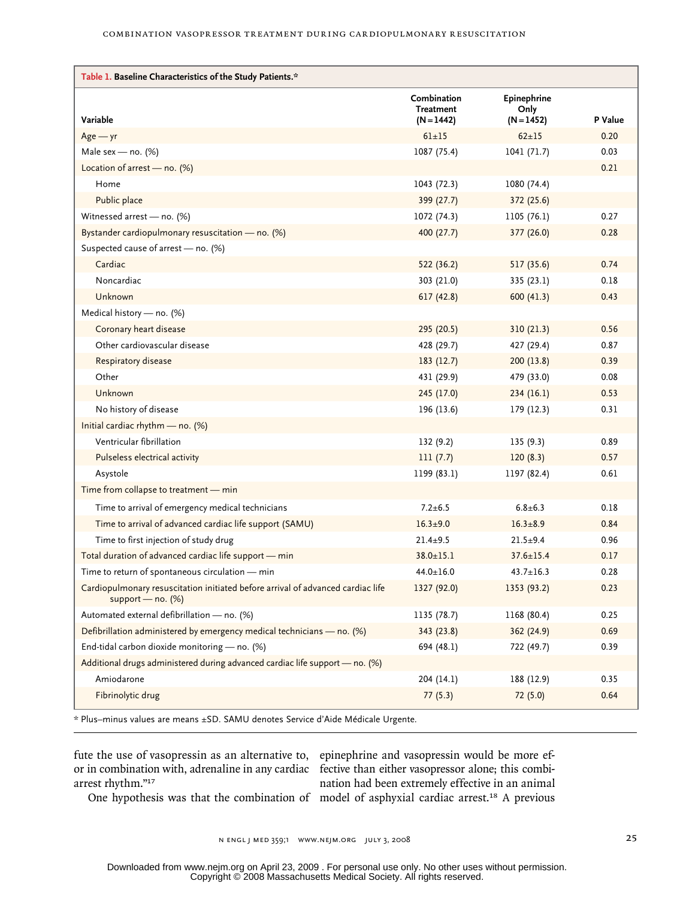| Table 1. Baseline Characteristics of the Study Patients.*                                              |                                                 |                                     |         |  |  |  |  |
|--------------------------------------------------------------------------------------------------------|-------------------------------------------------|-------------------------------------|---------|--|--|--|--|
| Variable                                                                                               | Combination<br><b>Treatment</b><br>$(N = 1442)$ | Epinephrine<br>Only<br>$(N = 1452)$ | P Value |  |  |  |  |
| $Age - yr$                                                                                             | $61 + 15$                                       | $62 + 15$                           | 0.20    |  |  |  |  |
| Male sex - no. $(%)$                                                                                   | 1087 (75.4)                                     | 1041 (71.7)                         | 0.03    |  |  |  |  |
| Location of arrest - no. $(\%)$                                                                        |                                                 |                                     | 0.21    |  |  |  |  |
| Home                                                                                                   | 1043 (72.3)                                     | 1080 (74.4)                         |         |  |  |  |  |
| Public place                                                                                           | 399 (27.7)                                      | 372 (25.6)                          |         |  |  |  |  |
| Witnessed arrest - no. (%)                                                                             | 1072 (74.3)                                     | 1105 (76.1)                         | 0.27    |  |  |  |  |
| Bystander cardiopulmonary resuscitation - no. (%)                                                      | 400 (27.7)                                      | 377 (26.0)                          | 0.28    |  |  |  |  |
| Suspected cause of arrest - no. (%)                                                                    |                                                 |                                     |         |  |  |  |  |
| Cardiac                                                                                                | 522 (36.2)                                      | 517 (35.6)                          | 0.74    |  |  |  |  |
| Noncardiac                                                                                             | 303 (21.0)                                      | 335 (23.1)                          | 0.18    |  |  |  |  |
| Unknown                                                                                                | 617(42.8)                                       | 600 (41.3)                          | 0.43    |  |  |  |  |
| Medical history - no. (%)                                                                              |                                                 |                                     |         |  |  |  |  |
| Coronary heart disease                                                                                 | 295 (20.5)                                      | 310 (21.3)                          | 0.56    |  |  |  |  |
| Other cardiovascular disease                                                                           | 428 (29.7)                                      | 427 (29.4)                          | 0.87    |  |  |  |  |
| Respiratory disease                                                                                    | 183(12.7)                                       | 200 (13.8)                          | 0.39    |  |  |  |  |
| Other                                                                                                  | 431 (29.9)                                      | 479 (33.0)                          | 0.08    |  |  |  |  |
| Unknown                                                                                                | 245(17.0)                                       | 234(16.1)                           | 0.53    |  |  |  |  |
| No history of disease                                                                                  | 196 (13.6)                                      | 179 (12.3)                          | 0.31    |  |  |  |  |
| Initial cardiac rhythm - no. (%)                                                                       |                                                 |                                     |         |  |  |  |  |
| Ventricular fibrillation                                                                               | 132 (9.2)                                       | 135(9.3)                            | 0.89    |  |  |  |  |
| Pulseless electrical activity                                                                          | 111(7.7)                                        | 120(8.3)                            | 0.57    |  |  |  |  |
| Asystole                                                                                               | 1199 (83.1)                                     | 1197 (82.4)                         | 0.61    |  |  |  |  |
| Time from collapse to treatment - min                                                                  |                                                 |                                     |         |  |  |  |  |
| Time to arrival of emergency medical technicians                                                       | $7.2 \pm 6.5$                                   | $6.8 + 6.3$                         | 0.18    |  |  |  |  |
| Time to arrival of advanced cardiac life support (SAMU)                                                | $16.3 + 9.0$                                    | $16.3 + 8.9$                        | 0.84    |  |  |  |  |
| Time to first injection of study drug                                                                  | $21.4 + 9.5$                                    | $21.5 + 9.4$                        | 0.96    |  |  |  |  |
| Total duration of advanced cardiac life support - min                                                  | $38.0 \pm 15.1$                                 | $37.6 \pm 15.4$                     | 0.17    |  |  |  |  |
| Time to return of spontaneous circulation - min                                                        | $44.0 \pm 16.0$                                 | $43.7 \pm 16.3$                     | 0.28    |  |  |  |  |
| Cardiopulmonary resuscitation initiated before arrival of advanced cardiac life<br>support - $no.$ (%) | 1327 (92.0)                                     | 1353 (93.2)                         | 0.23    |  |  |  |  |
| Automated external defibrillation - no. (%)                                                            | 1135 (78.7)                                     | 1168 (80.4)                         | 0.25    |  |  |  |  |
| Defibrillation administered by emergency medical technicians - no. (%)                                 | 343 (23.8)                                      | 362 (24.9)                          | 0.69    |  |  |  |  |
| End-tidal carbon dioxide monitoring - no. (%)                                                          | 694 (48.1)                                      | 722 (49.7)                          | 0.39    |  |  |  |  |
| Additional drugs administered during advanced cardiac life support - no. (%)                           |                                                 |                                     |         |  |  |  |  |
| Amiodarone                                                                                             | 204 (14.1)                                      | 188 (12.9)                          | 0.35    |  |  |  |  |
| Fibrinolytic drug                                                                                      | 77(5.3)                                         | 72 (5.0)                            | 0.64    |  |  |  |  |

\* Plus–minus values are means ±SD. SAMU denotes Service d'Aide Médicale Urgente.

fute the use of vasopressin as an alternative to, epinephrine and vasopressin would be more efor in combination with, adrenaline in any cardiac fective than either vasopressor alone; this combiarrest rhythm."<sup>17</sup>

One hypothesis was that the combination of model of asphyxial cardiac arrest.<sup>18</sup> A previous nation had been extremely effective in an animal

n engl j med 359;1 www.nejm.org july 3, 2008 25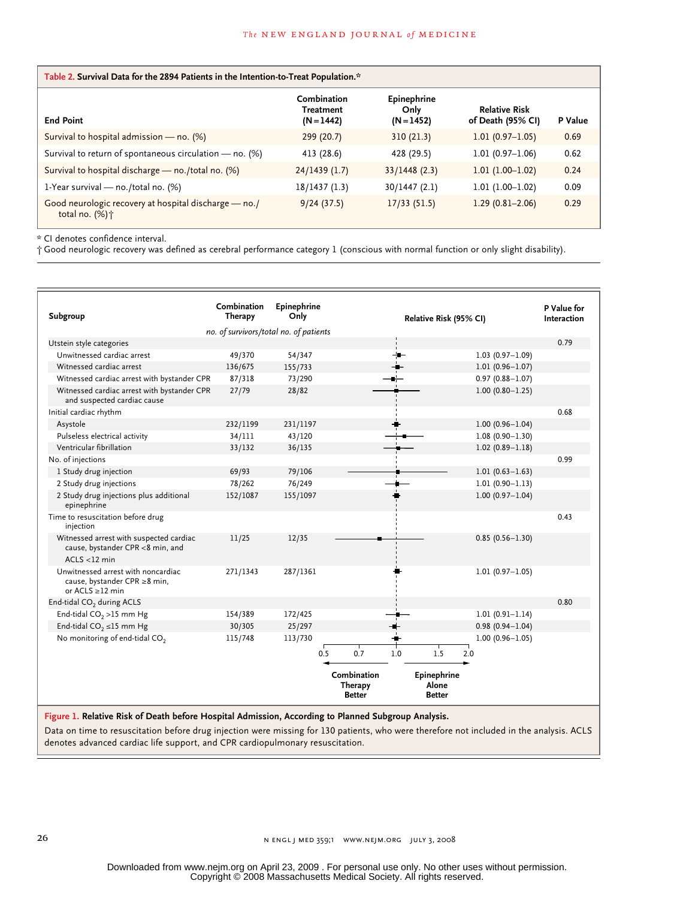| Table 2. Survival Data for the 2894 Patients in the Intention-to-Treat Population.* |                                                 |                                     |                                           |         |  |  |  |
|-------------------------------------------------------------------------------------|-------------------------------------------------|-------------------------------------|-------------------------------------------|---------|--|--|--|
| <b>End Point</b>                                                                    | Combination<br><b>Treatment</b><br>$(N = 1442)$ | Epinephrine<br>Only<br>$(N = 1452)$ | <b>Relative Risk</b><br>of Death (95% CI) | P Value |  |  |  |
| Survival to hospital admission - no. (%)                                            | 299 (20.7)                                      | 310(21.3)                           | $1.01(0.97 - 1.05)$                       | 0.69    |  |  |  |
| Survival to return of spontaneous circulation - no. (%)                             | 413 (28.6)                                      | 428 (29.5)                          | $1.01(0.97-1.06)$                         | 0.62    |  |  |  |
| Survival to hospital discharge - no./total no. (%)                                  | 24/1439(1.7)                                    | 33/1448(2.3)                        | $1.01(1.00-1.02)$                         | 0.24    |  |  |  |
| 1-Year survival — no./total no. (%)                                                 | 18/1437(1.3)                                    | 30/1447(2.1)                        | $1.01(1.00-1.02)$                         | 0.09    |  |  |  |
| Good neurologic recovery at hospital discharge - no./<br>total no. $(%)\uparrow$    | 9/24(37.5)                                      | 17/33(51.5)                         | $1.29(0.81 - 2.06)$                       | 0.29    |  |  |  |

\* CI denotes confidence interval.

† Good neurologic recovery was defined as cerebral performance category 1 (conscious with normal function or only slight disability).

| Subgroup                                                                                     | Combination<br>Therapy                 | Epinephrine<br>Only |                                         | Relative Risk (95% CI)                |                     | P Value for<br>Interaction |
|----------------------------------------------------------------------------------------------|----------------------------------------|---------------------|-----------------------------------------|---------------------------------------|---------------------|----------------------------|
|                                                                                              | no. of survivors/total no. of patients |                     |                                         |                                       |                     |                            |
| Utstein style categories                                                                     |                                        |                     |                                         |                                       |                     | 0.79                       |
| Unwitnessed cardiac arrest                                                                   | 49/370                                 | 54/347              |                                         |                                       | $1.03(0.97 - 1.09)$ |                            |
| Witnessed cardiac arrest                                                                     | 136/675                                | 155/733             |                                         |                                       | $1.01(0.96 - 1.07)$ |                            |
| Witnessed cardiac arrest with bystander CPR                                                  | 87/318                                 | 73/290              |                                         |                                       | $0.97(0.88 - 1.07)$ |                            |
| Witnessed cardiac arrest with bystander CPR<br>and suspected cardiac cause                   | 27/79                                  | 28/82               |                                         |                                       | $1.00(0.80 - 1.25)$ |                            |
| Initial cardiac rhythm                                                                       |                                        |                     |                                         |                                       |                     | 0.68                       |
| Asystole                                                                                     | 232/1199                               | 231/1197            |                                         |                                       | $1.00(0.96 - 1.04)$ |                            |
| Pulseless electrical activity                                                                | 34/111                                 | 43/120              |                                         |                                       | $1.08(0.90 - 1.30)$ |                            |
| Ventricular fibrillation                                                                     | 33/132                                 | 36/135              |                                         |                                       | $1.02(0.89 - 1.18)$ |                            |
| No. of injections                                                                            |                                        |                     |                                         |                                       |                     | 0.99                       |
| 1 Study drug injection                                                                       | 69/93                                  | 79/106              |                                         |                                       | $1.01(0.63 - 1.63)$ |                            |
| 2 Study drug injections                                                                      | 78/262                                 | 76/249              |                                         |                                       | $1.01(0.90 - 1.13)$ |                            |
| 2 Study drug injections plus additional<br>epinephrine                                       | 152/1087                               | 155/1097            |                                         |                                       | $1.00(0.97 - 1.04)$ |                            |
| Time to resuscitation before drug<br>injection                                               |                                        |                     |                                         |                                       |                     | 0.43                       |
| Witnessed arrest with suspected cardiac<br>cause, bystander CPR <8 min, and<br>ACLS < 12 min | 11/25                                  | 12/35               |                                         |                                       | $0.85(0.56 - 1.30)$ |                            |
| Unwitnessed arrest with noncardiac<br>cause, bystander CPR ≥8 min,<br>or ACLS ≥12 min        | 271/1343                               | 287/1361            |                                         |                                       | $1.01(0.97 - 1.05)$ |                            |
| End-tidal CO <sub>2</sub> during ACLS                                                        |                                        |                     |                                         |                                       |                     | 0.80                       |
| End-tidal $CO2$ >15 mm Hg                                                                    | 154/389                                | 172/425             |                                         |                                       | $1.01(0.91 - 1.14)$ |                            |
| End-tidal $CO2 \le 15$ mm Hg                                                                 | 30/305                                 | 25/297              |                                         |                                       | $0.98(0.94 - 1.04)$ |                            |
| No monitoring of end-tidal CO <sub>2</sub>                                                   | 115/748                                | 113/730             |                                         |                                       | $1.00(0.96 - 1.05)$ |                            |
|                                                                                              |                                        | 0.5                 | 0.7                                     | 1.5<br>1.0                            | 2.0                 |                            |
|                                                                                              |                                        |                     | Combination<br>Therapy<br><b>Better</b> | Epinephrine<br>Alone<br><b>Better</b> |                     |                            |

#### **Figure 1. Relative Risk of Death before Hospital Admission, According to Planned Subgroup Analysis.**

 $\overline{\phantom{a}}$ 

AUTHOR: Gueuginaud Data on time to resuscitation before drug injection were missing for 130 patients, who were therefore not included in the analysis. ACLS denotes advanced cardiac life support, and CPR cardiopulmonary resuscitation.

2nd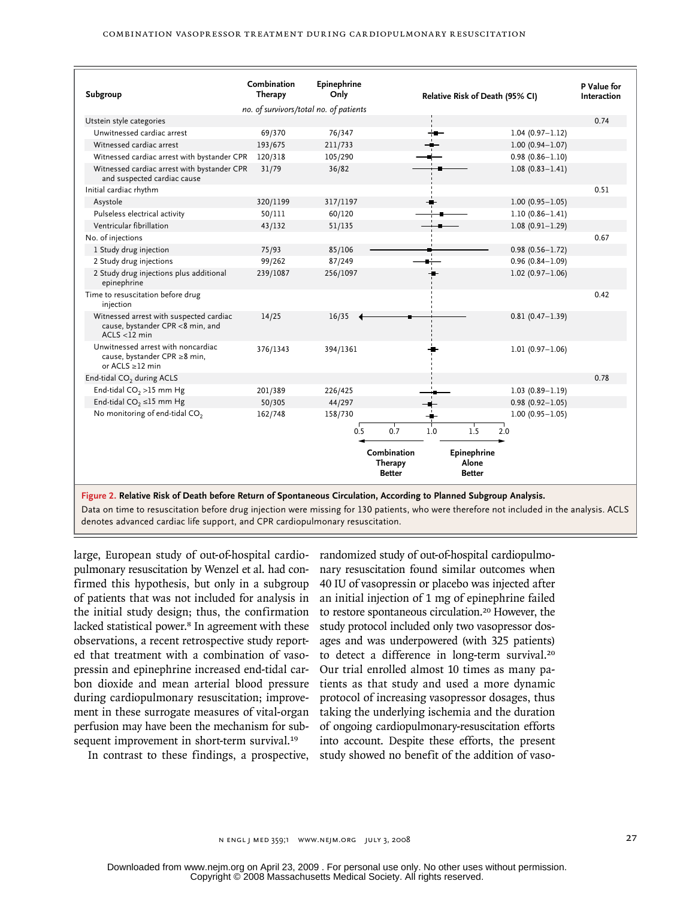| Subgroup                                                                                     | Combination<br>Therapy | Epinephrine<br>Only                    |                                         | Relative Risk of Death (95% CI)       | P Value for<br>Interaction |
|----------------------------------------------------------------------------------------------|------------------------|----------------------------------------|-----------------------------------------|---------------------------------------|----------------------------|
|                                                                                              |                        | no. of survivors/total no. of patients |                                         |                                       |                            |
| Utstein style categories                                                                     |                        |                                        |                                         |                                       | 0.74                       |
| Unwitnessed cardiac arrest                                                                   | 69/370                 | 76/347                                 |                                         | $1.04(0.97 - 1.12)$                   |                            |
| Witnessed cardiac arrest                                                                     | 193/675                | 211/733                                |                                         | $1.00(0.94 - 1.07)$                   |                            |
| Witnessed cardiac arrest with bystander CPR                                                  | 120/318                | 105/290                                |                                         | $0.98(0.86 - 1.10)$                   |                            |
| Witnessed cardiac arrest with bystander CPR<br>and suspected cardiac cause                   | 31/79                  | 36/82                                  |                                         | $1.08(0.83 - 1.41)$                   |                            |
| Initial cardiac rhythm                                                                       |                        |                                        |                                         |                                       | 0.51                       |
| Asystole                                                                                     | 320/1199               | 317/1197                               |                                         | $1.00(0.95 - 1.05)$                   |                            |
| Pulseless electrical activity                                                                | 50/111                 | 60/120                                 |                                         | $1.10(0.86 - 1.41)$                   |                            |
| Ventricular fibrillation                                                                     | 43/132                 | 51/135                                 |                                         | $1.08(0.91 - 1.29)$                   |                            |
| No. of injections                                                                            |                        |                                        |                                         |                                       | 0.67                       |
| 1 Study drug injection                                                                       | 75/93                  | 85/106                                 |                                         | $0.98(0.56 - 1.72)$                   |                            |
| 2 Study drug injections                                                                      | 99/262                 | 87/249                                 |                                         | $0.96(0.84 - 1.09)$                   |                            |
| 2 Study drug injections plus additional<br>epinephrine                                       | 239/1087               | 256/1097                               |                                         | $1.02(0.97 - 1.06)$                   |                            |
| Time to resuscitation before drug<br>injection                                               |                        |                                        |                                         |                                       | 0.42                       |
| Witnessed arrest with suspected cardiac<br>cause, bystander CPR <8 min, and<br>ACLS < 12 min | 14/25                  | 16/35                                  |                                         | $0.81(0.47 - 1.39)$                   |                            |
| Unwitnessed arrest with noncardiac<br>cause, bystander CPR ≥8 min,<br>or ACLS ≥12 min        | 376/1343               | 394/1361                               |                                         | $1.01(0.97 - 1.06)$                   |                            |
| End-tidal CO <sub>2</sub> during ACLS                                                        |                        |                                        |                                         |                                       | 0.78                       |
| End-tidal $CO2$ >15 mm Hg                                                                    | 201/389                | 226/425                                |                                         | $1.03(0.89 - 1.19)$                   |                            |
| End-tidal $CO2 \le 15$ mm Hg                                                                 | 50/305                 | 44/297                                 |                                         | $0.98(0.92 - 1.05)$                   |                            |
| No monitoring of end-tidal CO <sub>2</sub>                                                   | 162/748                | 158/730                                |                                         | $1.00(0.95 - 1.05)$                   |                            |
|                                                                                              |                        | 0.5                                    | 0.7<br>1.0                              | 1.5<br>2.0                            |                            |
|                                                                                              |                        |                                        | Combination<br>Therapy<br><b>Better</b> | Epinephrine<br>Alone<br><b>Better</b> |                            |

**Figure 2. Relative Risk of Death before Return of Spontaneous Circulation, According to Planned Subgroup Analysis.**

 $\overline{\phantom{a}}$ 

denotes advanced cardiac life support, and CPR cardiopulmonary resuscitation.<br>. Data on time to resuscitation before drug injection were missing for 130 patients, who were therefore not included in the analysis. ACLS

large, European study of out-of-hospital cardiopulmonary resuscitation by Wenzel et al. had con- na firmed this hypothesis, but only in a subgroup of patients that was not included for analysis in the initial study design; thus, the confirmation lacked statistical power.<sup>8</sup> In agreement with these observations, a recent retrospective study reported that treatment with a combination of vasopressin and epinephrine increased end-tidal carbon dioxide and mean arterial blood pressure during cardiopulmonary resuscitation; improvement in these surrogate measures of vital-organ perfusion may have been the mechanism for subsequent improvement in short-term survival.<sup>19</sup>

In contrast to these findings, a prospective,

randomized study of out-of-hospital cardiopulmol. had con- nary resuscitation found similar outcomes when 40 IU of vasopressin or placebo was injected after an initial injection of 1 mg of epinephrine failed mation to restore spontaneous circulation.<sup>20</sup> However, the study protocol included only two vasopressor dosy report- ages and was underpowered (with 325 patients) to detect a difference in long-term survival.<sup>20</sup> Our trial enrolled almost 10 times as many patients as that study and used a more dynamic protocol of increasing vasopressor dosages, thus taking the underlying ischemia and the duration of ongoing cardiopulmonary-resuscitation efforts into account. Despite these efforts, the present study showed no benefit of the addition of vaso-

2nd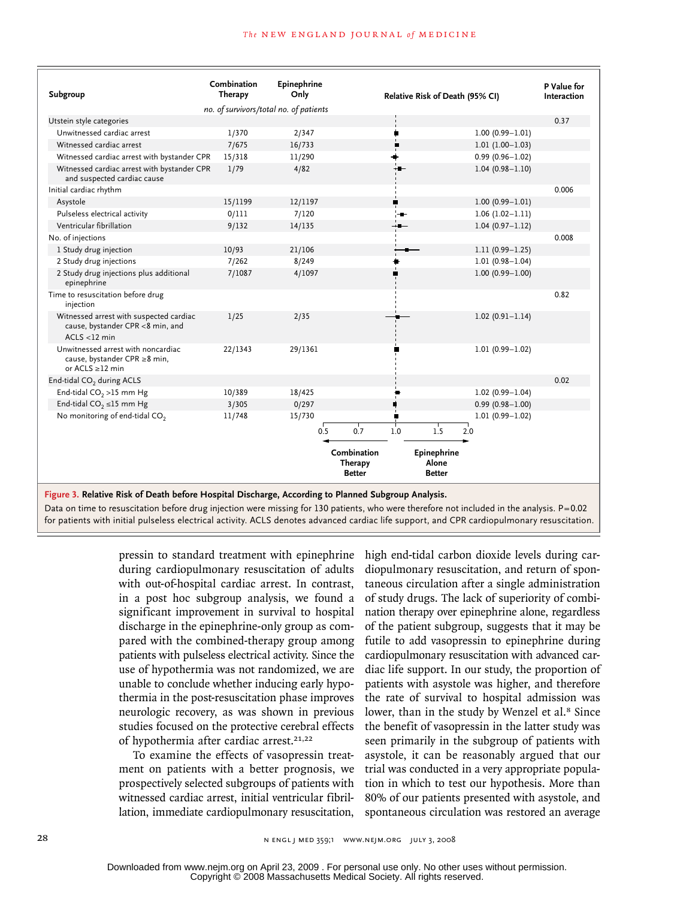| Subgroup                                                                                     | Combination<br>Therapy | Epinephrine<br>Only |                                                |     | Relative Risk of Death (95% CI)       |                     | P Value for<br>Interaction |
|----------------------------------------------------------------------------------------------|------------------------|---------------------|------------------------------------------------|-----|---------------------------------------|---------------------|----------------------------|
| no. of survivors/total no. of patients<br>Utstein style categories                           |                        |                     |                                                |     |                                       |                     |                            |
| Unwitnessed cardiac arrest                                                                   | 1/370                  | 2/347               |                                                |     |                                       | $1.00(0.99 - 1.01)$ | 0.37                       |
| Witnessed cardiac arrest                                                                     | 7/675                  | 16/733              |                                                |     |                                       | $1.01(1.00-1.03)$   |                            |
| Witnessed cardiac arrest with bystander CPR                                                  |                        |                     |                                                |     |                                       |                     |                            |
|                                                                                              | 15/318                 | 11/290              |                                                |     |                                       | $0.99(0.96 - 1.02)$ |                            |
| Witnessed cardiac arrest with bystander CPR<br>and suspected cardiac cause                   | 1/79                   | 4/82                |                                                |     |                                       | $1.04(0.98 - 1.10)$ |                            |
| Initial cardiac rhythm                                                                       |                        |                     |                                                |     |                                       |                     | 0.006                      |
| Asystole                                                                                     | 15/1199                | 12/1197             |                                                |     |                                       | $1.00(0.99 - 1.01)$ |                            |
| Pulseless electrical activity                                                                | 0/111                  | 7/120               |                                                |     |                                       | $1.06(1.02 - 1.11)$ |                            |
| Ventricular fibrillation                                                                     | 9/132                  | 14/135              |                                                |     |                                       | $1.04(0.97 - 1.12)$ |                            |
| No. of injections                                                                            |                        |                     |                                                |     |                                       |                     | 0.008                      |
| 1 Study drug injection                                                                       | 10/93                  | 21/106              |                                                |     |                                       | $1.11(0.99 - 1.25)$ |                            |
| 2 Study drug injections                                                                      | 7/262                  | 8/249               |                                                |     |                                       | $1.01(0.98 - 1.04)$ |                            |
| 2 Study drug injections plus additional<br>epinephrine                                       | 7/1087                 | 4/1097              |                                                |     |                                       | $1.00(0.99 - 1.00)$ |                            |
| Time to resuscitation before drug<br>injection                                               |                        |                     |                                                |     |                                       |                     | 0.82                       |
| Witnessed arrest with suspected cardiac<br>cause, bystander CPR <8 min, and<br>ACLS < 12 min | 1/25                   | 2/35                |                                                |     |                                       | $1.02(0.91 - 1.14)$ |                            |
| Unwitnessed arrest with noncardiac<br>cause, bystander CPR ≥8 min,<br>or ACLS ≥12 min        | 22/1343                | 29/1361             |                                                |     |                                       | $1.01(0.99 - 1.02)$ |                            |
| End-tidal CO <sub>2</sub> during ACLS                                                        |                        |                     |                                                |     |                                       |                     | 0.02                       |
| End-tidal $CO2$ >15 mm Hg                                                                    | 10/389                 | 18/425              |                                                |     |                                       | $1.02(0.99 - 1.04)$ |                            |
| End-tidal $CO2 \le 15$ mm Hg                                                                 | 3/305                  | 0/297               |                                                |     |                                       | $0.99(0.98 - 1.00)$ |                            |
| No monitoring of end-tidal CO <sub>2</sub>                                                   | 11/748                 | 15/730              |                                                |     |                                       | $1.01(0.99 - 1.02)$ |                            |
|                                                                                              |                        | 0.5                 | 0.7                                            | 1.0 | 1.5                                   | 2.0                 |                            |
|                                                                                              |                        |                     | Combination<br><b>Therapy</b><br><b>Better</b> |     | Epinephrine<br>Alone<br><b>Better</b> |                     |                            |

**Figure 3. Relative Risk of Death before Hospital Discharge, According to Planned Subgroup Analysis.**

 $\equiv$ 

AUTHOR: Gueuginaud Data on time to resuscitation before drug injection were missing for 130 patients, who were therefore not included in the analysis. P=0.02 for patients with initial pulseless electrical activity. ACLS denotes advanced cardiac life support, and CPR cardiopulmonary resuscitation.

> pressin to standard treatment with epinephrine during cardiopulmonary resuscitation of adults with out-of-hospital cardiac arrest. In contrast, in a post hoc subgroup analysis, we found a c significant improvement in survival to hospital nation the discharge in the epinephrine-only group as compared with the combined-therapy group among futile patients with pulseless electrical activity. Since the use of hypothermia was not randomized, we are unable to conclude whether inducing early hypothermia in the post-resuscitation phase improves neurologic recovery, as was shown in previous studies focused on the protective cerebral effects of hypothermia after cardiac arrest.<sup>21,22</sup>

To examine the effects of vasopressin treatment on patients with a better prognosis, we prospectively selected subgroups of patients with witnessed cardiac arrest, initial ventricular fibrillation, immediate cardiopulmonary resuscitation,

high end-tidal carbon dioxide levels during cardiopulmonary resuscitation, and return of spon- $\frac{1}{2}$  taneous circulation after a single administration of study drugs. The lack of superiority of combination therapy over epinephrine alone, regardless of the patient subgroup, suggests that it may be futile to add vasopressin to epinephrine during cardiopulmonary resuscitation with advanced cardiac life support. In our study, the proportion of patients with asystole was higher, and therefore the rate of survival to hospital admission was lower, than in the study by Wenzel et al.<sup>8</sup> Since the benefit of vasopressin in the latter study was seen primarily in the subgroup of patients with asystole, it can be reasonably argued that our trial was conducted in a very appropriate population in which to test our hypothesis. More than 80% of our patients presented with asystole, and spontaneous circulation was restored an average

2nd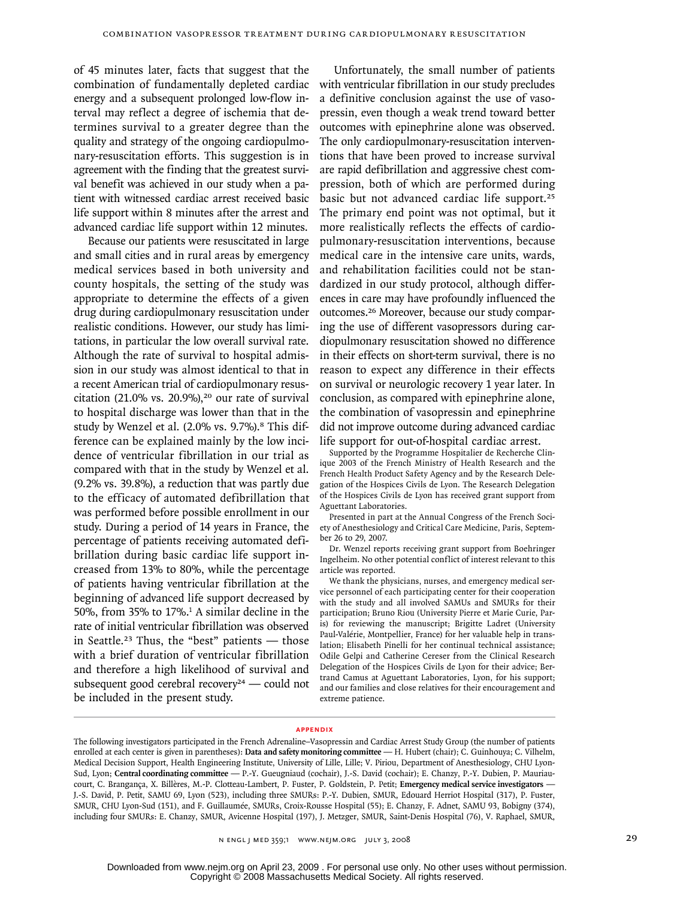of 45 minutes later, facts that suggest that the combination of fundamentally depleted cardiac energy and a subsequent prolonged low-flow interval may reflect a degree of ischemia that determines survival to a greater degree than the quality and strategy of the ongoing cardiopulmonary-resuscitation efforts. This suggestion is in agreement with the finding that the greatest survival benefit was achieved in our study when a patient with witnessed cardiac arrest received basic life support within 8 minutes after the arrest and advanced cardiac life support within 12 minutes.

Because our patients were resuscitated in large and small cities and in rural areas by emergency medical services based in both university and county hospitals, the setting of the study was appropriate to determine the effects of a given drug during cardiopulmonary resuscitation under realistic conditions. However, our study has limitations, in particular the low overall survival rate. Although the rate of survival to hospital admission in our study was almost identical to that in a recent American trial of cardiopulmonary resuscitation (21.0% vs. 20.9%),<sup>20</sup> our rate of survival to hospital discharge was lower than that in the study by Wenzel et al. (2.0% vs. 9.7%).<sup>8</sup> This difference can be explained mainly by the low incidence of ventricular fibrillation in our trial as compared with that in the study by Wenzel et al. (9.2% vs. 39.8%), a reduction that was partly due to the efficacy of automated defibrillation that was performed before possible enrollment in our study. During a period of 14 years in France, the percentage of patients receiving automated defibrillation during basic cardiac life support increased from 13% to 80%, while the percentage of patients having ventricular fibrillation at the beginning of advanced life support decreased by 50%, from 35% to  $17\%$ .<sup>1</sup> A similar decline in the rate of initial ventricular fibrillation was observed in Seattle.23 Thus, the "best" patients — those with a brief duration of ventricular fibrillation and therefore a high likelihood of survival and subsequent good cerebral recovery<sup>24</sup> — could not be included in the present study.

Unfortunately, the small number of patients with ventricular fibrillation in our study precludes a definitive conclusion against the use of vasopressin, even though a weak trend toward better outcomes with epinephrine alone was observed. The only cardiopulmonary-resuscitation interventions that have been proved to increase survival are rapid defibrillation and aggressive chest compression, both of which are performed during basic but not advanced cardiac life support.<sup>25</sup> The primary end point was not optimal, but it more realistically reflects the effects of cardiopulmonary-resuscitation interventions, because medical care in the intensive care units, wards, and rehabilitation facilities could not be standardized in our study protocol, although differences in care may have profoundly influenced the outcomes.26 Moreover, because our study comparing the use of different vasopressors during cardiopulmonary resuscitation showed no difference in their effects on short-term survival, there is no reason to expect any difference in their effects on survival or neurologic recovery 1 year later. In conclusion, as compared with epinephrine alone, the combination of vasopressin and epinephrine did not improve outcome during advanced cardiac life support for out-of-hospital cardiac arrest.

Supported by the Programme Hospitalier de Recherche Clinique 2003 of the French Ministry of Health Research and the French Health Product Safety Agency and by the Research Delegation of the Hospices Civils de Lyon. The Research Delegation of the Hospices Civils de Lyon has received grant support from Aguettant Laboratories.

Presented in part at the Annual Congress of the French Society of Anesthesiology and Critical Care Medicine, Paris, September 26 to 29, 2007.

Dr. Wenzel reports receiving grant support from Boehringer Ingelheim. No other potential conflict of interest relevant to this article was reported.

We thank the physicians, nurses, and emergency medical service personnel of each participating center for their cooperation with the study and all involved SAMUs and SMURs for their participation; Bruno Riou (University Pierre et Marie Curie, Paris) for reviewing the manuscript; Brigitte Ladret (University Paul-Valérie, Montpellier, France) for her valuable help in translation; Elisabeth Pinelli for her continual technical assistance; Odile Gelpi and Catherine Cereser from the Clinical Research Delegation of the Hospices Civils de Lyon for their advice; Bertrand Camus at Aguettant Laboratories, Lyon, for his support; and our families and close relatives for their encouragement and extreme patience.

#### **APPENDIX**

The following investigators participated in the French Adrenaline–Vasopressin and Cardiac Arrest Study Group (the number of patients enrolled at each center is given in parentheses): **Data and safety monitoring committee** — H. Hubert (chair); C. Guinhouya; C. Vilhelm, Medical Decision Support, Health Engineering Institute, University of Lille, Lille; V. Piriou, Department of Anesthesiology, CHU Lyon-Sud, Lyon; **Central coordinating committee** — P.-Y. Gueugniaud (cochair), J.-S. David (cochair); E. Chanzy, P.-Y. Dubien, P. Mauriaucourt, C. Brangança, X. Billères, M.-P. Clotteau-Lambert, P. Fuster, P. Goldstein, P. Petit; **Emergency medical service investigators** — J.-S. David, P. Petit, SAMU 69, Lyon (523), including three SMURs: P.-Y. Dubien, SMUR, Edouard Herriot Hospital (317), P. Fuster, SMUR, CHU Lyon-Sud (151), and F. Guillaumée, SMURs, Croix-Rousse Hospital (55); E. Chanzy, F. Adnet, SAMU 93, Bobigny (374), including four SMURs: E. Chanzy, SMUR, Avicenne Hospital (197), J. Metzger, SMUR, Saint-Denis Hospital (76), V. Raphael, SMUR,

n engl j med 359;1 www.nejm.org july 3, 2008 29